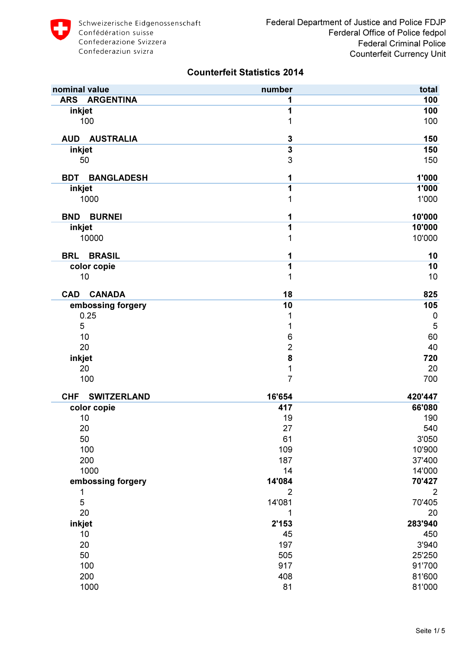| nominal value                    | number                  | total          |
|----------------------------------|-------------------------|----------------|
| <b>ARS</b><br><b>ARGENTINA</b>   | 1                       | 100            |
| inkjet                           | 1                       | 100            |
| 100                              | 1                       | 100            |
| <b>AUD</b><br><b>AUSTRALIA</b>   | $\mathbf 3$             | 150            |
| inkjet                           | $\overline{\mathbf{3}}$ | 150            |
| 50                               | 3                       | 150            |
| <b>BDT</b><br><b>BANGLADESH</b>  | 1                       | 1'000          |
| inkjet                           | 1                       | 1'000          |
| 1000                             | 1                       | 1'000          |
| <b>BURNEI</b><br><b>BND</b>      | 1                       | 10'000         |
| inkjet                           | 1                       | 10'000         |
| 10000                            | 1                       | 10'000         |
| <b>BRL</b><br><b>BRASIL</b>      | 1                       | 10             |
| color copie                      | 1                       | 10             |
| 10                               | 1                       | 10             |
| <b>CANADA</b><br><b>CAD</b>      | 18                      | 825            |
| embossing forgery                | 10                      | 105            |
| 0.25                             | 1                       | $\mathbf 0$    |
| 5                                | 1                       | $\overline{5}$ |
| 10                               | 6                       | 60             |
| 20                               | $\overline{2}$          | 40             |
| inkjet                           | 8                       | 720            |
| 20                               | $\mathbf{1}$            | 20             |
| 100                              | $\overline{7}$          | 700            |
| <b>SWITZERLAND</b><br><b>CHF</b> | 16'654                  | 420'447        |
| color copie                      | 417                     | 66'080         |
| 10                               | 19                      | 190            |
| 20                               | 27                      | 540            |
| 50                               | 61                      | 3'050          |
| 100                              | 109                     | 10'900         |
| 200                              | 187                     | 37'400         |
| 1000                             | 14                      | 14'000         |
| embossing forgery                | 14'084                  | 70'427         |
| 1                                | $\overline{2}$          | 2              |
| 5                                | 14'081                  | 70'405         |
| 20                               | 1                       | 20             |
| inkjet                           | 2'153                   | 283'940        |
| 10                               | 45                      | 450            |
| 20                               | 197                     | 3'940          |
| 50                               | 505                     | 25'250         |
| 100                              | 917                     | 91'700         |
| 200                              | 408                     | 81'600         |
| 1000                             | 81                      | 81'000         |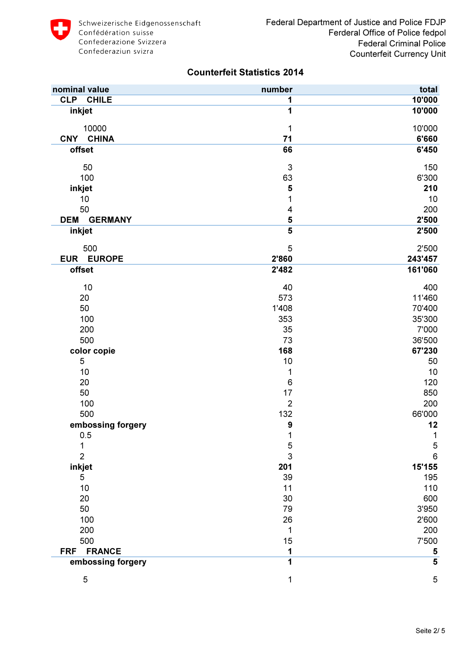| nominal value                | number                    | total                   |
|------------------------------|---------------------------|-------------------------|
| <b>CLP</b><br><b>CHILE</b>   | 1                         | 10'000                  |
| inkjet                       | 1                         | 10'000                  |
| 10000                        | 1                         | 10'000                  |
| <b>CHINA</b><br><b>CNY</b>   | 71                        | 6'660                   |
| offset                       | 66                        | 6'450                   |
| 50                           | $\ensuremath{\mathsf{3}}$ | 150                     |
| 100                          | 63                        | 6'300                   |
| inkjet                       | 5                         | 210                     |
| 10                           | 1                         | 10                      |
| 50                           | 4                         | 200                     |
| <b>DEM</b><br><b>GERMANY</b> | 5                         | 2'500                   |
| inkjet                       | 5                         | 2'500                   |
| 500                          | 5                         | 2'500                   |
| <b>EUROPE</b><br><b>EUR</b>  | 2'860                     | 243'457                 |
| offset                       | 2'482                     | 161'060                 |
| 10                           | 40                        | 400                     |
| 20                           | 573                       | 11'460                  |
| 50                           | 1'408                     | 70'400                  |
| 100                          | 353                       | 35'300                  |
| 200                          | 35                        | 7'000                   |
| 500                          | 73                        | 36'500                  |
| color copie                  | 168                       | 67'230                  |
| 5                            | 10                        | 50                      |
| 10                           | 1                         | 10                      |
| 20                           | $\mathbf 6$               | 120                     |
| 50                           | 17                        | 850                     |
| 100                          | $\overline{2}$            | 200                     |
| 500                          | 132                       | 66'000                  |
| embossing forgery            | $\boldsymbol{9}$          | 12                      |
| 0.5                          | 1                         | 1                       |
|                              | 5                         | $\sqrt{5}$              |
| $\overline{2}$               | 3                         | 6                       |
| inkjet                       | 201                       | 15'155                  |
| 5                            | 39                        | 195                     |
| 10                           | 11                        | 110                     |
| 20                           | 30                        | 600                     |
| 50                           | 79                        | 3'950                   |
| 100                          | 26                        | 2'600                   |
| 200                          | 1                         | 200                     |
| 500                          | 15                        | 7'500                   |
| <b>FRANCE</b><br><b>FRF</b>  | 1                         | 5                       |
| embossing forgery            | 1                         | $\overline{\mathbf{5}}$ |
| 5                            | 1                         | $\mathbf 5$             |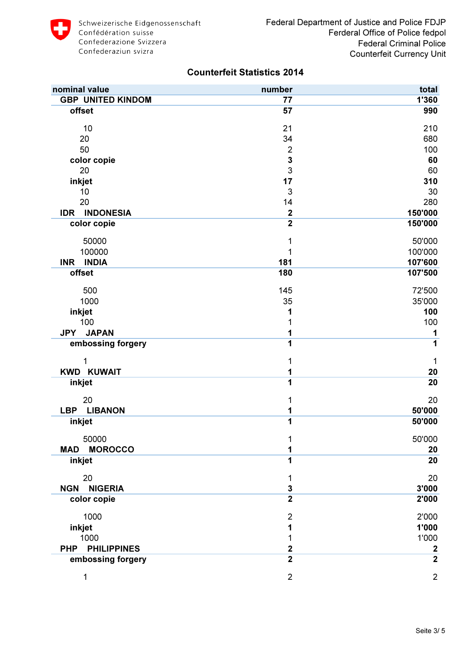| nominal value                    | number                  | total            |
|----------------------------------|-------------------------|------------------|
| <b>GBP UNITED KINDOM</b>         | 77                      | 1'360            |
| offset                           | 57                      | 990              |
| 10                               | 21                      | 210              |
| 20                               | 34                      | 680              |
| 50                               | $\overline{2}$          | 100              |
| color copie                      | $\overline{\mathbf{3}}$ | 60               |
| 20                               | $\overline{3}$          | 60               |
| inkjet                           | 17                      | 310              |
| 10                               | 3                       | 30               |
| 20                               | 14                      | 280              |
| <b>INDONESIA</b><br><b>IDR</b>   | $\mathbf{2}$            | 150'000          |
| color copie                      | $\overline{2}$          | 150'000          |
| 50000                            | 1                       | 50'000           |
| 100000                           | 1                       | 100'000          |
| <b>INDIA</b><br><b>INR</b>       | 181                     | 107'600          |
| offset                           | 180                     | 107'500          |
| 500                              | 145                     | 72'500           |
| 1000                             | 35                      | 35'000           |
| inkjet                           | 1                       | 100              |
| 100                              | 1                       | 100              |
| <b>JAPAN</b><br><b>JPY</b>       | 1                       | 1                |
| embossing forgery                | 1                       | 1                |
| 1                                | 1                       | 1                |
| <b>KWD KUWAIT</b>                | 1                       | 20               |
| inkjet                           | 1                       | 20               |
| 20                               | 1                       | 20               |
| LBP LIBANON                      | 1                       | 50'000           |
| inkjet                           | $\overline{1}$          | 50'000           |
| 50000                            | 1                       | 50'000           |
| <b>MOROCCO</b><br><b>MAD</b>     | 1                       | 20               |
| inkjet                           | 1                       | 20               |
| 20                               | 1                       | 20               |
| <b>NIGERIA</b><br><b>NGN</b>     | 3                       | 3'000            |
| color copie                      | $\overline{2}$          | 2'000            |
| 1000                             | $\overline{2}$          | 2'000            |
| inkjet                           | 1                       | 1'000            |
| 1000                             | 1                       | 1'000            |
| <b>PHILIPPINES</b><br><b>PHP</b> | $\overline{\mathbf{2}}$ | $\boldsymbol{2}$ |
| embossing forgery                | $\overline{2}$          | $\overline{2}$   |
| 1                                | $\overline{2}$          | $\overline{2}$   |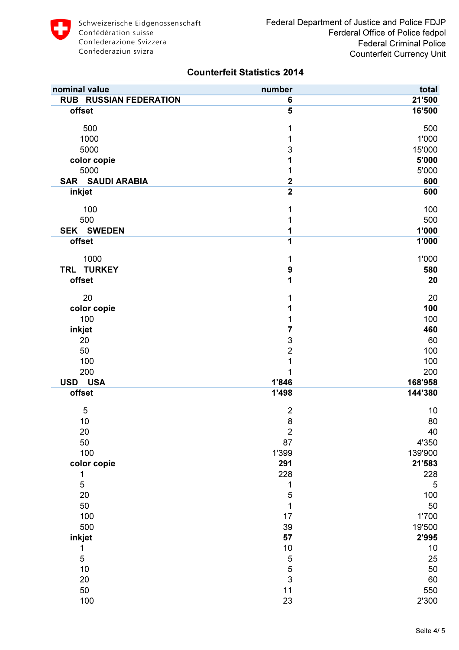

| nominal value                 | number           | total   |
|-------------------------------|------------------|---------|
| <b>RUB RUSSIAN FEDERATION</b> | 6                | 21'500  |
| offset                        | 5                | 16'500  |
| 500                           | 1                | 500     |
| 1000                          | 1                | 1'000   |
| 5000                          | 3                | 15'000  |
| color copie                   | 1                | 5'000   |
| 5000                          | 1                | 5'000   |
| <b>SAR SAUDI ARABIA</b>       | $\mathbf 2$      | 600     |
| inkjet                        | $\overline{2}$   | 600     |
| 100                           | 1                | 100     |
| 500                           | 1                | 500     |
| <b>SEK SWEDEN</b>             | 1                | 1'000   |
| offset                        | 1                | 1'000   |
| 1000                          | 1                | 1'000   |
| TRL TURKEY                    | $\boldsymbol{9}$ | 580     |
| offset                        | 1                | 20      |
| 20                            | 1                | 20      |
| color copie                   | 1                | 100     |
| 100                           | 1                | 100     |
| inkjet                        | 7                | 460     |
| 20                            | $\mathsf 3$      | 60      |
| 50                            | $\overline{2}$   | 100     |
| 100                           | $\mathbf{1}$     | 100     |
| 200                           | 1                | 200     |
| <b>USA</b><br><b>USD</b>      | 1'846            | 168'958 |
| offset                        | 1'498            | 144'380 |
| 5                             | $\overline{2}$   | 10      |
| 10                            | 8                | 80      |
| 20                            | $\mathbf 2$      | 40      |
| 50                            | 87               | 4'350   |
| 100                           | 1'399            | 139'900 |
| color copie                   | 291              | 21'583  |
| 1                             | 228              | 228     |
| 5                             | 1                | 5       |
| 20                            | 5                | 100     |
| 50                            | $\mathbf{1}$     | 50      |
| 100                           | 17               | 1'700   |
| 500                           | 39               | 19'500  |
| inkjet                        | 57               | 2'995   |
| 1                             | $10$             | 10      |
| 5                             |                  | 25      |
| $10$                          | $\frac{5}{3}$    | 50      |
| 20                            |                  | 60      |
| 50                            | 11               | 550     |
| 100                           | 23               | 2'300   |